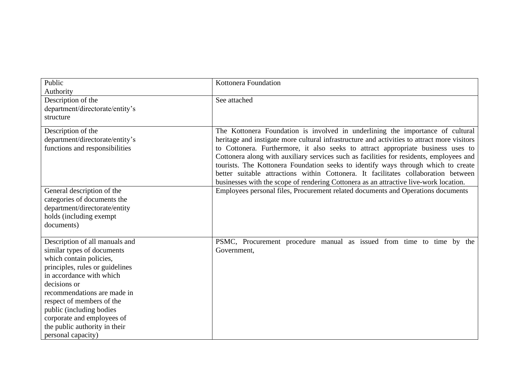| Public                                                                                                                                                                                                                                                                                                                                              | Kottonera Foundation                                                                                                                                                                                                                                                                                                                                                                                                                                                                                                                                                                                                             |
|-----------------------------------------------------------------------------------------------------------------------------------------------------------------------------------------------------------------------------------------------------------------------------------------------------------------------------------------------------|----------------------------------------------------------------------------------------------------------------------------------------------------------------------------------------------------------------------------------------------------------------------------------------------------------------------------------------------------------------------------------------------------------------------------------------------------------------------------------------------------------------------------------------------------------------------------------------------------------------------------------|
| Authority                                                                                                                                                                                                                                                                                                                                           |                                                                                                                                                                                                                                                                                                                                                                                                                                                                                                                                                                                                                                  |
| Description of the<br>department/directorate/entity's<br>structure                                                                                                                                                                                                                                                                                  | See attached                                                                                                                                                                                                                                                                                                                                                                                                                                                                                                                                                                                                                     |
| Description of the<br>department/directorate/entity's<br>functions and responsibilities                                                                                                                                                                                                                                                             | The Kottonera Foundation is involved in underlining the importance of cultural<br>heritage and instigate more cultural infrastructure and activities to attract more visitors<br>to Cottonera. Furthermore, it also seeks to attract appropriate business uses to<br>Cottonera along with auxiliary services such as facilities for residents, employees and<br>tourists. The Kottonera Foundation seeks to identify ways through which to create<br>better suitable attractions within Cottonera. It facilitates collaboration between<br>businesses with the scope of rendering Cottonera as an attractive live-work location. |
| General description of the<br>categories of documents the<br>department/directorate/entity<br>holds (including exempt<br>documents)                                                                                                                                                                                                                 | Employees personal files, Procurement related documents and Operations documents                                                                                                                                                                                                                                                                                                                                                                                                                                                                                                                                                 |
| Description of all manuals and<br>similar types of documents<br>which contain policies,<br>principles, rules or guidelines<br>in accordance with which<br>decisions or<br>recommendations are made in<br>respect of members of the<br>public (including bodies<br>corporate and employees of<br>the public authority in their<br>personal capacity) | PSMC, Procurement procedure manual as issued from time to time by the<br>Government,                                                                                                                                                                                                                                                                                                                                                                                                                                                                                                                                             |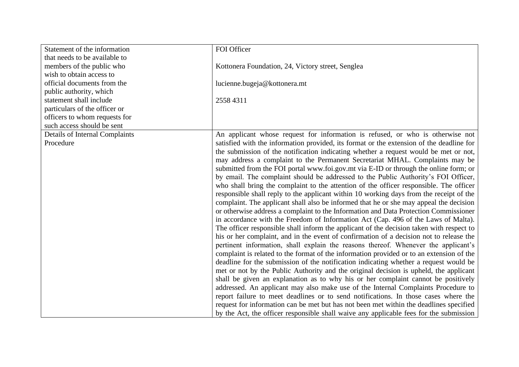| Statement of the information   | FOI Officer                                                                              |
|--------------------------------|------------------------------------------------------------------------------------------|
| that needs to be available to  |                                                                                          |
| members of the public who      | Kottonera Foundation, 24, Victory street, Senglea                                        |
| wish to obtain access to       |                                                                                          |
| official documents from the    | lucienne.bugeja@kottonera.mt                                                             |
| public authority, which        |                                                                                          |
| statement shall include        | 2558 4311                                                                                |
| particulars of the officer or  |                                                                                          |
| officers to whom requests for  |                                                                                          |
| such access should be sent     |                                                                                          |
| Details of Internal Complaints | An applicant whose request for information is refused, or who is otherwise not           |
| Procedure                      | satisfied with the information provided, its format or the extension of the deadline for |
|                                | the submission of the notification indicating whether a request would be met or not,     |
|                                | may address a complaint to the Permanent Secretariat MHAL. Complaints may be             |
|                                | submitted from the FOI portal www.foi.gov.mt via E-ID or through the online form; or     |
|                                | by email. The complaint should be addressed to the Public Authority's FOI Officer,       |
|                                | who shall bring the complaint to the attention of the officer responsible. The officer   |
|                                | responsible shall reply to the applicant within 10 working days from the receipt of the  |
|                                | complaint. The applicant shall also be informed that he or she may appeal the decision   |
|                                | or otherwise address a complaint to the Information and Data Protection Commissioner     |
|                                | in accordance with the Freedom of Information Act (Cap. 496 of the Laws of Malta).       |
|                                | The officer responsible shall inform the applicant of the decision taken with respect to |
|                                | his or her complaint, and in the event of confirmation of a decision not to release the  |
|                                | pertinent information, shall explain the reasons thereof. Whenever the applicant's       |
|                                | complaint is related to the format of the information provided or to an extension of the |
|                                | deadline for the submission of the notification indicating whether a request would be    |
|                                | met or not by the Public Authority and the original decision is upheld, the applicant    |
|                                | shall be given an explanation as to why his or her complaint cannot be positively        |
|                                | addressed. An applicant may also make use of the Internal Complaints Procedure to        |
|                                | report failure to meet deadlines or to send notifications. In those cases where the      |
|                                | request for information can be met but has not been met within the deadlines specified   |
|                                | by the Act, the officer responsible shall waive any applicable fees for the submission   |